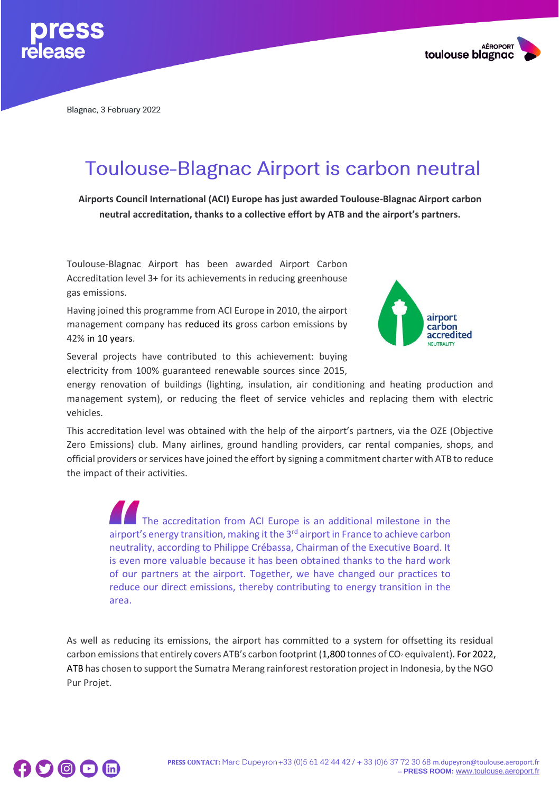



Blagnac, 3 February 2022

## **Toulouse-Blagnac Airport is carbon neutral**

**Airports Council International (ACI) Europe has just awarded Toulouse-Blagnac Airport carbon neutral accreditation, thanks to a collective effort by ATB and the airport's partners.**

Toulouse-Blagnac Airport has been awarded Airport Carbon Accreditation level 3+ for its achievements in reducing greenhouse gas emissions.

Having joined this programme from ACI Europe in 2010, the airport management company has reduced its gross carbon emissions by 42% in 10 years.



Several projects have contributed to this achievement: buying electricity from 100% guaranteed renewable sources since 2015,

energy renovation of buildings (lighting, insulation, air conditioning and heating production and management system), or reducing the fleet of service vehicles and replacing them with electric vehicles.

This accreditation level was obtained with the help of the airport's partners, via the OZE (Objective Zero Emissions) club. Many airlines, ground handling providers, car rental companies, shops, and official providers or services have joined the effort by signing a commitment charter with ATB to reduce the impact of their activities.

The accreditation from ACI Europe is an additional milestone in the airport's energy transition, making it the 3<sup>rd</sup> airport in France to achieve carbon neutrality, according to Philippe Crébassa, Chairman of the Executive Board. It is even more valuable because it has been obtained thanks to the hard work of our partners at the airport. Together, we have changed our practices to reduce our direct emissions, thereby contributing to energy transition in the area.

As well as reducing its emissions, the airport has committed to a system for offsetting its residual carbon emissions that entirely covers ATB's carbon footprint (1,800 tonnes of CO<sup>²</sup> equivalent). For 2022, ATB has chosen to support the Sumatra Merang rainforest restoration project in Indonesia, by the NGO Pur Projet.